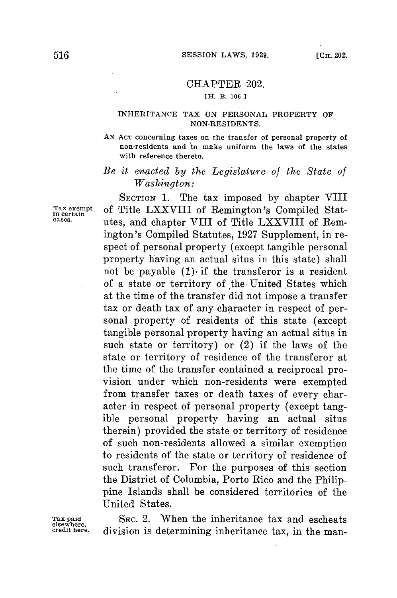## CHAPTER 202.

## [H. B. **106.3**

## **INHERITANCE TAX ON PERSONAL PROPERTY OF NON-RESIDENTS.**

**AN ACT concerning taxes on the transfer of personal property of** non-residents and to make uniform the laws of the states **with reference thereto.**

## *Be it enacted by the Legislature of the State of Washington:*

**SECTION 1.** The tax imposed **by** chapter VIII Tax exempt of Title LXXVIII of Remington's Compiled Statcases.<br>
utes, and chapter VIII of Title LXXVIII of Remington's Compiled Statutes, **1927** Supplement, in respect of personal property (except tangible personal property having an actual situs in this state) shall not be payable  $(1)$  if the transferor is a resident of a state or territory of the United States which at the time of the transfer did not impose a transfer tax or death tax of any character in respect of personal property of residents of this state (except tangible personal property having an actual situs in such state or territory) or (2) if the laws of the state or territory of residence of the transferor at the time of the transfer contained a reciprocal provision under which non-residents were exempted from transfer taxes or death taxes of every character in respect of personal property (except tangible personal property having an actual situs therein) provided the state or territory of residence of such non-residents allowed a similar exemption to residents of the state or territory of residence of such transferor. For the purposes of this section the District of Columbia, Porto Rico and the Philippine Islands shall be considered territories of the United States.

**Tax paid SEC.** 2. When the inheritance tax and escheats **elsewhere, credit here,** division is determining inheritance tax, in the man-